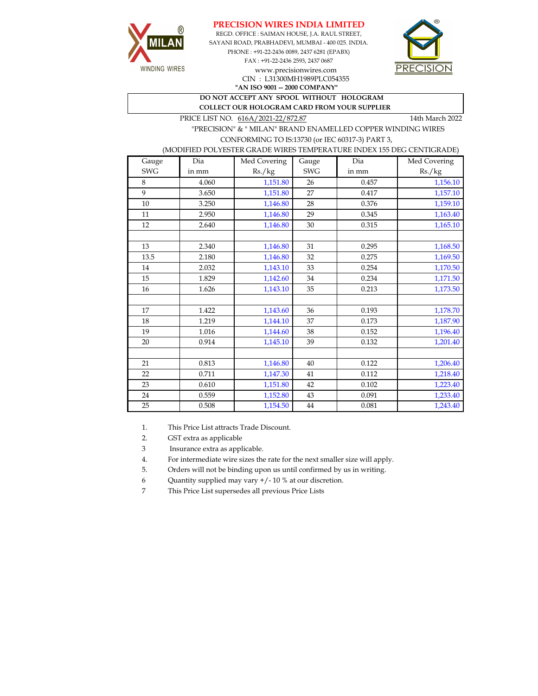



**"AN ISO 9001 -- 2000 COMPANY"** REGD. OFFICE : SAIMAN HOUSE, J.A. RAUL STREET, SAYANI ROAD, PRABHADEVI, MUMBAI - 400 025. INDIA. PHONE : +91-22-2436 0089, 2437 6281 (EPABX) FAX : +91-22-2436 2593, 2437 0687 www.precisionwires.com CIN : L31300MH1989PLC054355



**DO NOT ACCEPT ANY SPOOL WITHOUT HOLOGRAM COLLECT OUR HOLOGRAM CARD FROM YOUR SUPPLIER** 

PRICE LIST NO.  $616A/2021-22/872.87$  14th March 2022

 "PRECISION" & " MILAN" BRAND ENAMELLED COPPER WINDING WIRES CONFORMING TO IS:13730 (or IEC 60317-3) PART 3,

## (MODIFIED POLYESTER GRADE WIRES TEMPERATURE INDEX 155 DEG CENTIGRADE)

| Gauge      | Dia   | Med Covering | Gauge      | Dia   | Med Covering |
|------------|-------|--------------|------------|-------|--------------|
| <b>SWG</b> | in mm | Rs./kg       | <b>SWG</b> | in mm | Rs./kg       |
| 8          | 4.060 | 1,151.80     | 26         | 0.457 | 1,156.10     |
| 9          | 3.650 | 1,151.80     | 27         | 0.417 | 1,157.10     |
| $10\,$     | 3.250 | 1,146.80     | 28         | 0.376 | 1,159.10     |
| 11         | 2.950 | 1,146.80     | 29         | 0.345 | 1,163.40     |
| 12         | 2.640 | 1,146.80     | 30         | 0.315 | 1,165.10     |
|            |       |              |            |       |              |
| 13         | 2.340 | 1,146.80     | 31         | 0.295 | 1,168.50     |
| 13.5       | 2.180 | 1,146.80     | 32         | 0.275 | 1,169.50     |
| 14         | 2.032 | 1,143.10     | 33         | 0.254 | 1,170.50     |
| 15         | 1.829 | 1,142.60     | 34         | 0.234 | 1,171.50     |
| 16         | 1.626 | 1,143.10     | 35         | 0.213 | 1,173.50     |
|            |       |              |            |       |              |
| 17         | 1.422 | 1,143.60     | 36         | 0.193 | 1,178.70     |
| 18         | 1.219 | 1,144.10     | 37         | 0.173 | 1,187.90     |
| 19         | 1.016 | 1,144.60     | 38         | 0.152 | 1,196.40     |
| 20         | 0.914 | 1,145.10     | 39         | 0.132 | 1,201.40     |
|            |       |              |            |       |              |
| 21         | 0.813 | 1,146.80     | 40         | 0.122 | 1,206.40     |
| 22         | 0.711 | 1,147.30     | 41         | 0.112 | 1,218.40     |
| 23         | 0.610 | 1,151.80     | 42         | 0.102 | 1,223.40     |
| 24         | 0.559 | 1,152.80     | 43         | 0.091 | 1,233.40     |
| 25         | 0.508 | 1,154.50     | 44         | 0.081 | 1,243.40     |

1. This Price List attracts Trade Discount.

2. GST extra as applicable

3 Insurance extra as applicable.

4. For intermediate wire sizes the rate for the next smaller size will apply.

5. Orders will not be binding upon us until confirmed by us in writing.

6 Quantity supplied may vary +/- 10 % at our discretion.

7 This Price List supersedes all previous Price Lists